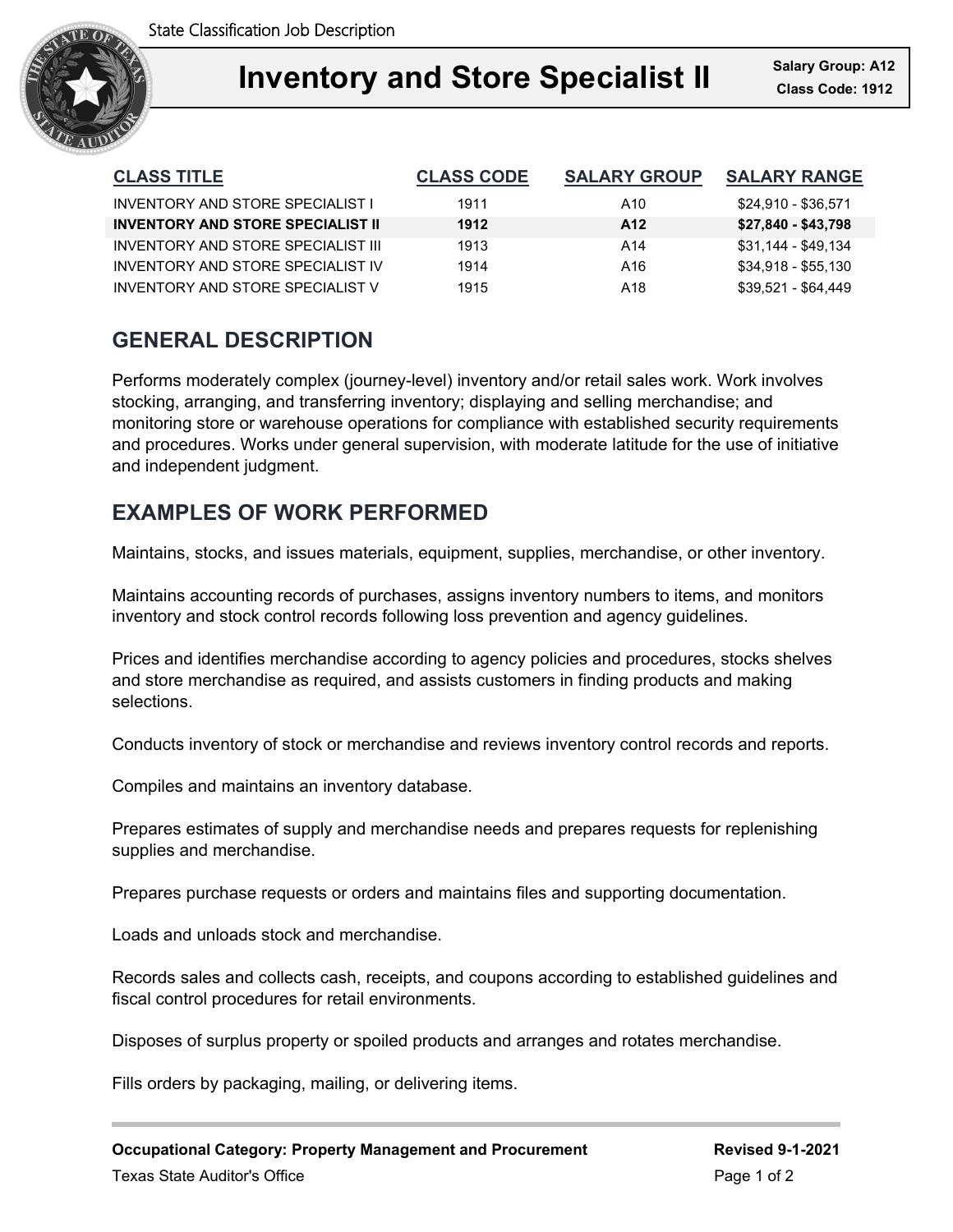

### **Inventory and Store Specialist II** Salary Group: A12 Ξ

| <b>CLASS TITLE</b>                       | <b>CLASS CODE</b> | <b>SALARY GROUP</b> | <b>SALARY RANGE</b> |
|------------------------------------------|-------------------|---------------------|---------------------|
| INVENTORY AND STORE SPECIALIST I         | 1911              | A10                 | \$24,910 - \$36,571 |
| <b>INVENTORY AND STORE SPECIALIST II</b> | 1912              | A12                 | \$27,840 - \$43,798 |
| INVENTORY AND STORE SPECIAL IST III      | 1913              | A14                 | \$31,144 - \$49,134 |
| INVENTORY AND STORE SPECIALIST IV        | 1914              | A16                 | \$34,918 - \$55,130 |
| INVENTORY AND STORE SPECIALIST V         | 1915              | A18                 | \$39,521 - \$64,449 |

# **GENERAL DESCRIPTION**

Performs moderately complex (journey-level) inventory and/or retail sales work. Work involves stocking, arranging, and transferring inventory; displaying and selling merchandise; and monitoring store or warehouse operations for compliance with established security requirements and procedures. Works under general supervision, with moderate latitude for the use of initiative and independent judgment.

# **EXAMPLES OF WORK PERFORMED**

Maintains, stocks, and issues materials, equipment, supplies, merchandise, or other inventory.

Maintains accounting records of purchases, assigns inventory numbers to items, and monitors inventory and stock control records following loss prevention and agency guidelines.

Prices and identifies merchandise according to agency policies and procedures, stocks shelves and store merchandise as required, and assists customers in finding products and making selections.

Conducts inventory of stock or merchandise and reviews inventory control records and reports.

Compiles and maintains an inventory database.

Prepares estimates of supply and merchandise needs and prepares requests for replenishing supplies and merchandise.

Prepares purchase requests or orders and maintains files and supporting documentation.

Loads and unloads stock and merchandise.

Records sales and collects cash, receipts, and coupons according to established guidelines and fiscal control procedures for retail environments.

Disposes of surplus property or spoiled products and arranges and rotates merchandise.

Fills orders by packaging, mailing, or delivering items.

**Occupational Category: Property Management and Procurement Revised 9-1-2021** Texas State Auditor's Office **Page 1 of 2** and 2